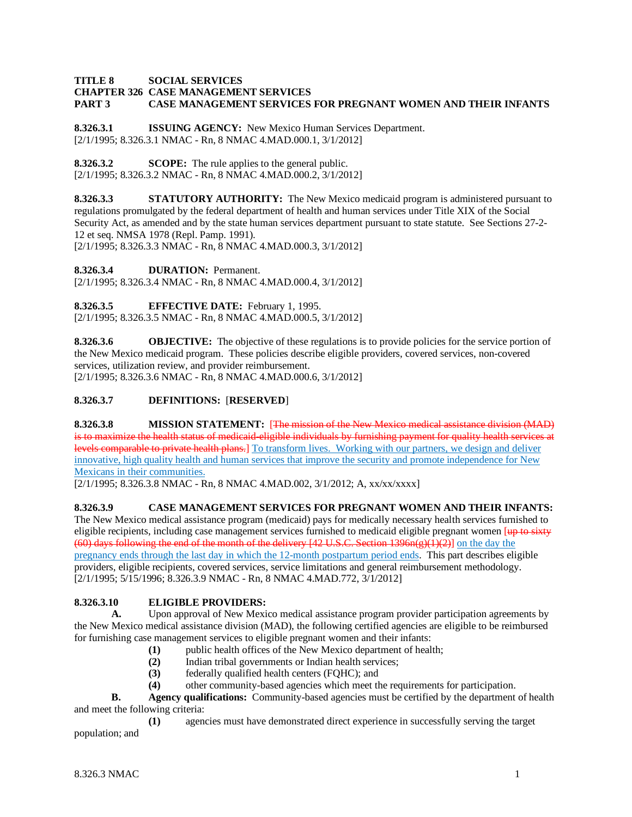#### **TITLE 8 SOCIAL SERVICES CHAPTER 326 CASE MANAGEMENT SERVICES CASE MANAGEMENT SERVICES FOR PREGNANT WOMEN AND THEIR INFANTS**

**8.326.3.1 ISSUING AGENCY:** New Mexico Human Services Department. [2/1/1995; 8.326.3.1 NMAC - Rn, 8 NMAC 4.MAD.000.1, 3/1/2012]

**8.326.3.2 SCOPE:** The rule applies to the general public. [2/1/1995; 8.326.3.2 NMAC - Rn, 8 NMAC 4.MAD.000.2, 3/1/2012]

**8.326.3.3 STATUTORY AUTHORITY:** The New Mexico medicaid program is administered pursuant to regulations promulgated by the federal department of health and human services under Title XIX of the Social Security Act, as amended and by the state human services department pursuant to state statute. See Sections 27-2- 12 et seq. NMSA 1978 (Repl. Pamp. 1991). [2/1/1995; 8.326.3.3 NMAC - Rn, 8 NMAC 4.MAD.000.3, 3/1/2012]

**8.326.3.4 DURATION:** Permanent.

[2/1/1995; 8.326.3.4 NMAC - Rn, 8 NMAC 4.MAD.000.4, 3/1/2012]

**8.326.3.5 EFFECTIVE DATE:** February 1, 1995. [2/1/1995; 8.326.3.5 NMAC - Rn, 8 NMAC 4.MAD.000.5, 3/1/2012]

**8.326.3.6 OBJECTIVE:** The objective of these regulations is to provide policies for the service portion of the New Mexico medicaid program. These policies describe eligible providers, covered services, non-covered services, utilization review, and provider reimbursement. [2/1/1995; 8.326.3.6 NMAC - Rn, 8 NMAC 4.MAD.000.6, 3/1/2012]

# **8.326.3.7 DEFINITIONS:** [**RESERVED**]

**8.326.3.8 MISSION STATEMENT:** [The mission of the New Mexico medical assistance division (MAD) is to maximize the health status of medicaid-eligible individuals by furnishing payment for quality health services at levels comparable to private health plans.] To transform lives. Working with our partners, we design and deliver innovative, high quality health and human services that improve the security and promote independence for New Mexicans in their communities.

[2/1/1995; 8.326.3.8 NMAC - Rn, 8 NMAC 4.MAD.002, 3/1/2012; A, xx/xx/xxxx]

# **8.326.3.9 CASE MANAGEMENT SERVICES FOR PREGNANT WOMEN AND THEIR INFANTS:**

The New Mexico medical assistance program (medicaid) pays for medically necessary health services furnished to eligible recipients, including case management services furnished to medicaid eligible pregnant women [up to sixty (60) days following the end of the month of the delivery  $[42 \text{ U.S.C. Section } 1396n(g)(1)(2)]$  on the day the pregnancy ends through the last day in which the 12-month postpartum period ends. This part describes eligible providers, eligible recipients, covered services, service limitations and general reimbursement methodology. [2/1/1995; 5/15/1996; 8.326.3.9 NMAC - Rn, 8 NMAC 4.MAD.772, 3/1/2012]

# **8.326.3.10 ELIGIBLE PROVIDERS:**

**A.** Upon approval of New Mexico medical assistance program provider participation agreements by the New Mexico medical assistance division (MAD), the following certified agencies are eligible to be reimbursed for furnishing case management services to eligible pregnant women and their infants:

- **(1)** public health offices of the New Mexico department of health;
- **(2)** Indian tribal governments or Indian health services;
- **(3)** federally qualified health centers (FQHC); and
- **(4)** other community-based agencies which meet the requirements for participation.

**B. Agency qualifications:** Community-based agencies must be certified by the department of health and meet the following criteria:

**(1)** agencies must have demonstrated direct experience in successfully serving the target population; and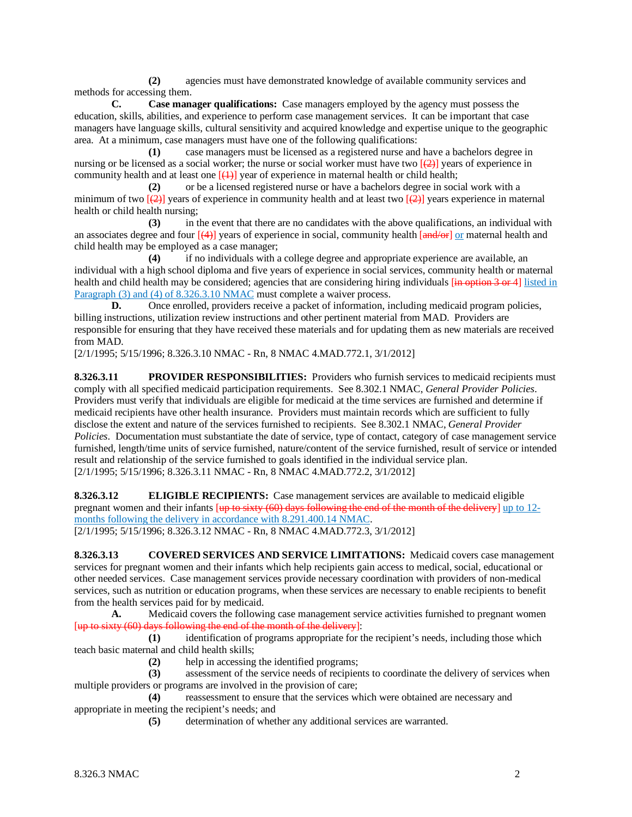**(2)** agencies must have demonstrated knowledge of available community services and methods for accessing them.

**C. Case manager qualifications:** Case managers employed by the agency must possess the education, skills, abilities, and experience to perform case management services. It can be important that case managers have language skills, cultural sensitivity and acquired knowledge and expertise unique to the geographic area. At a minimum, case managers must have one of the following qualifications:

**(1)** case managers must be licensed as a registered nurse and have a bachelors degree in nursing or be licensed as a social worker; the nurse or social worker must have two  $\sqrt{2}$  vears of experience in community health and at least one  $[\frac{1}{2}]$  year of experience in maternal health or child health;

**(2)** or be a licensed registered nurse or have a bachelors degree in social work with a minimum of two  $[\frac{1}{2}]$  years of experience in community health and at least two  $[\frac{1}{2}]$  years experience in maternal health or child health nursing;

**(3)** in the event that there are no candidates with the above qualifications, an individual with an associates degree and four  $[(4)]$  years of experience in social, community health  $[and/or]$  or maternal health and child health may be employed as a case manager;

**(4)** if no individuals with a college degree and appropriate experience are available, an individual with a high school diploma and five years of experience in social services, community health or maternal health and child health may be considered; agencies that are considering hiring individuals  $\left[\frac{1}{2}n\right]$  option 3 or 4 listed in Paragraph (3) and (4) of 8.326.3.10 NMAC must complete a waiver process.

**D.** Once enrolled, providers receive a packet of information, including medicaid program policies, billing instructions, utilization review instructions and other pertinent material from MAD. Providers are responsible for ensuring that they have received these materials and for updating them as new materials are received from MAD.

[2/1/1995; 5/15/1996; 8.326.3.10 NMAC - Rn, 8 NMAC 4.MAD.772.1, 3/1/2012]

**8.326.3.11 PROVIDER RESPONSIBILITIES:** Providers who furnish services to medicaid recipients must comply with all specified medicaid participation requirements. See 8.302.1 NMAC, *General Provider Policies*. Providers must verify that individuals are eligible for medicaid at the time services are furnished and determine if medicaid recipients have other health insurance. Providers must maintain records which are sufficient to fully disclose the extent and nature of the services furnished to recipients. See 8.302.1 NMAC, *General Provider Policies*. Documentation must substantiate the date of service, type of contact, category of case management service furnished, length/time units of service furnished, nature/content of the service furnished, result of service or intended result and relationship of the service furnished to goals identified in the individual service plan. [2/1/1995; 5/15/1996; 8.326.3.11 NMAC - Rn, 8 NMAC 4.MAD.772.2, 3/1/2012]

**8.326.3.12 ELIGIBLE RECIPIENTS:** Case management services are available to medicaid eligible pregnant women and their infants [up to sixty (60) days following the end of the month of the delivery] up to 12months following the delivery in accordance with 8.291.400.14 NMAC. [2/1/1995; 5/15/1996; 8.326.3.12 NMAC - Rn, 8 NMAC 4.MAD.772.3, 3/1/2012]

**8.326.3.13 COVERED SERVICES AND SERVICE LIMITATIONS:** Medicaid covers case management services for pregnant women and their infants which help recipients gain access to medical, social, educational or other needed services. Case management services provide necessary coordination with providers of non-medical services, such as nutrition or education programs, when these services are necessary to enable recipients to benefit from the health services paid for by medicaid.

**A.** Medicaid covers the following case management service activities furnished to pregnant women [up to sixty (60) days following the end of the month of the delivery]:

**(1)** identification of programs appropriate for the recipient's needs, including those which teach basic maternal and child health skills;

**(2)** help in accessing the identified programs;

**(3)** assessment of the service needs of recipients to coordinate the delivery of services when multiple providers or programs are involved in the provision of care;

**(4)** reassessment to ensure that the services which were obtained are necessary and appropriate in meeting the recipient's needs; and

**(5)** determination of whether any additional services are warranted.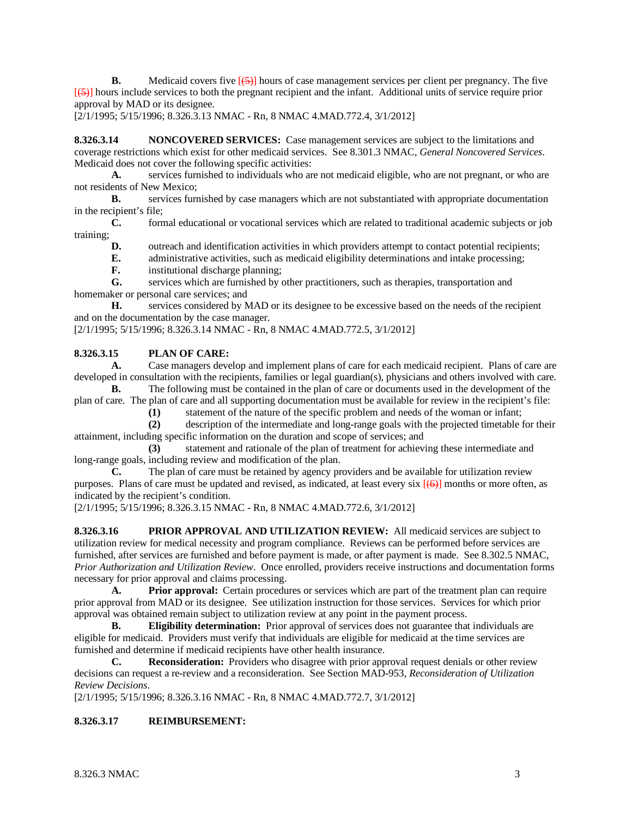**B.** Medicaid covers five  $\left[\frac{5}{2}\right]$  hours of case management services per client per pregnancy. The five [(5)] hours include services to both the pregnant recipient and the infant. Additional units of service require prior approval by MAD or its designee.

[2/1/1995; 5/15/1996; 8.326.3.13 NMAC - Rn, 8 NMAC 4.MAD.772.4, 3/1/2012]

**8.326.3.14 NONCOVERED SERVICES:** Case management services are subject to the limitations and coverage restrictions which exist for other medicaid services. See 8.301.3 NMAC, *General Noncovered Services*. Medicaid does not cover the following specific activities:<br>A. services furnished to individuals who are

**A.** services furnished to individuals who are not medicaid eligible, who are not pregnant, or who are not residents of New Mexico;

**B.** services furnished by case managers which are not substantiated with appropriate documentation in the recipient's file;

**C.** formal educational or vocational services which are related to traditional academic subjects or job training;

**D.** outreach and identification activities in which providers attempt to contact potential recipients;

- **E.** administrative activities, such as medicaid eligibility determinations and intake processing;
	- **F.** institutional discharge planning;

**G.** services which are furnished by other practitioners, such as therapies, transportation and homemaker or personal care services; and

**H.** services considered by MAD or its designee to be excessive based on the needs of the recipient and on the documentation by the case manager.

[2/1/1995; 5/15/1996; 8.326.3.14 NMAC - Rn, 8 NMAC 4.MAD.772.5, 3/1/2012]

#### **8.326.3.15 PLAN OF CARE:**

**A.** Case managers develop and implement plans of care for each medicaid recipient. Plans of care are developed in consultation with the recipients, families or legal guardian(s), physicians and others involved with care.

**B.** The following must be contained in the plan of care or documents used in the development of the plan of care. The plan of care and all supporting documentation must be available for review in the recipient's file:

**(1)** statement of the nature of the specific problem and needs of the woman or infant;

**(2)** description of the intermediate and long-range goals with the projected timetable for their attainment, including specific information on the duration and scope of services; and

**(3)** statement and rationale of the plan of treatment for achieving these intermediate and long-range goals, including review and modification of the plan.<br>
C. The plan of care must be retained by agency pro-

The plan of care must be retained by agency providers and be available for utilization review purposes. Plans of care must be updated and revised, as indicated, at least every six  $[(6)]$  months or more often, as indicated by the recipient's condition.

[2/1/1995; 5/15/1996; 8.326.3.15 NMAC - Rn, 8 NMAC 4.MAD.772.6, 3/1/2012]

**8.326.3.16 PRIOR APPROVAL AND UTILIZATION REVIEW:** All medicaid services are subject to utilization review for medical necessity and program compliance. Reviews can be performed before services are furnished, after services are furnished and before payment is made, or after payment is made. See 8.302.5 NMAC, *Prior Authorization and Utilization Review*. Once enrolled, providers receive instructions and documentation forms necessary for prior approval and claims processing.

**A. Prior approval:** Certain procedures or services which are part of the treatment plan can require prior approval from MAD or its designee. See utilization instruction for those services. Services for which prior approval was obtained remain subject to utilization review at any point in the payment process.

**B. Eligibility determination:** Prior approval of services does not guarantee that individuals are eligible for medicaid. Providers must verify that individuals are eligible for medicaid at the time services are furnished and determine if medicaid recipients have other health insurance.

**C. Reconsideration:** Providers who disagree with prior approval request denials or other review decisions can request a re-review and a reconsideration. See Section MAD-953, *Reconsideration of Utilization Review Decisions*.

[2/1/1995; 5/15/1996; 8.326.3.16 NMAC - Rn, 8 NMAC 4.MAD.772.7, 3/1/2012]

#### **8.326.3.17 REIMBURSEMENT:**